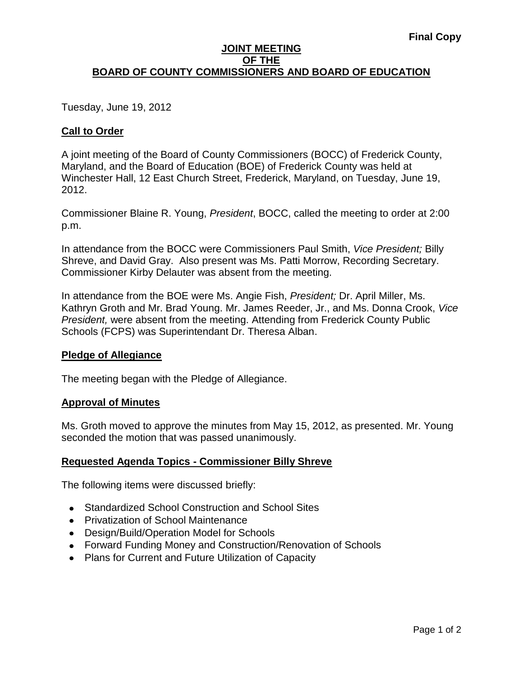### **JOINT MEETING OF THE BOARD OF COUNTY COMMISSIONERS AND BOARD OF EDUCATION**

Tuesday, June 19, 2012

## **Call to Order**

A joint meeting of the Board of County Commissioners (BOCC) of Frederick County, Maryland, and the Board of Education (BOE) of Frederick County was held at Winchester Hall, 12 East Church Street, Frederick, Maryland, on Tuesday, June 19, 2012.

Commissioner Blaine R. Young, *President*, BOCC, called the meeting to order at 2:00 p.m.

In attendance from the BOCC were Commissioners Paul Smith, *Vice President;* Billy Shreve, and David Gray. Also present was Ms. Patti Morrow, Recording Secretary. Commissioner Kirby Delauter was absent from the meeting.

In attendance from the BOE were Ms. Angie Fish, *President;* Dr. April Miller, Ms. Kathryn Groth and Mr. Brad Young. Mr. James Reeder, Jr., and Ms. Donna Crook, *Vice President,* were absent from the meeting. Attending from Frederick County Public Schools (FCPS) was Superintendant Dr. Theresa Alban.

### **Pledge of Allegiance**

The meeting began with the Pledge of Allegiance.

### **Approval of Minutes**

Ms. Groth moved to approve the minutes from May 15, 2012, as presented. Mr. Young seconded the motion that was passed unanimously.

## **Requested Agenda Topics - Commissioner Billy Shreve**

The following items were discussed briefly:

- Standardized School Construction and School Sites
- Privatization of School Maintenance
- Design/Build/Operation Model for Schools
- Forward Funding Money and Construction/Renovation of Schools
- Plans for Current and Future Utilization of Capacity